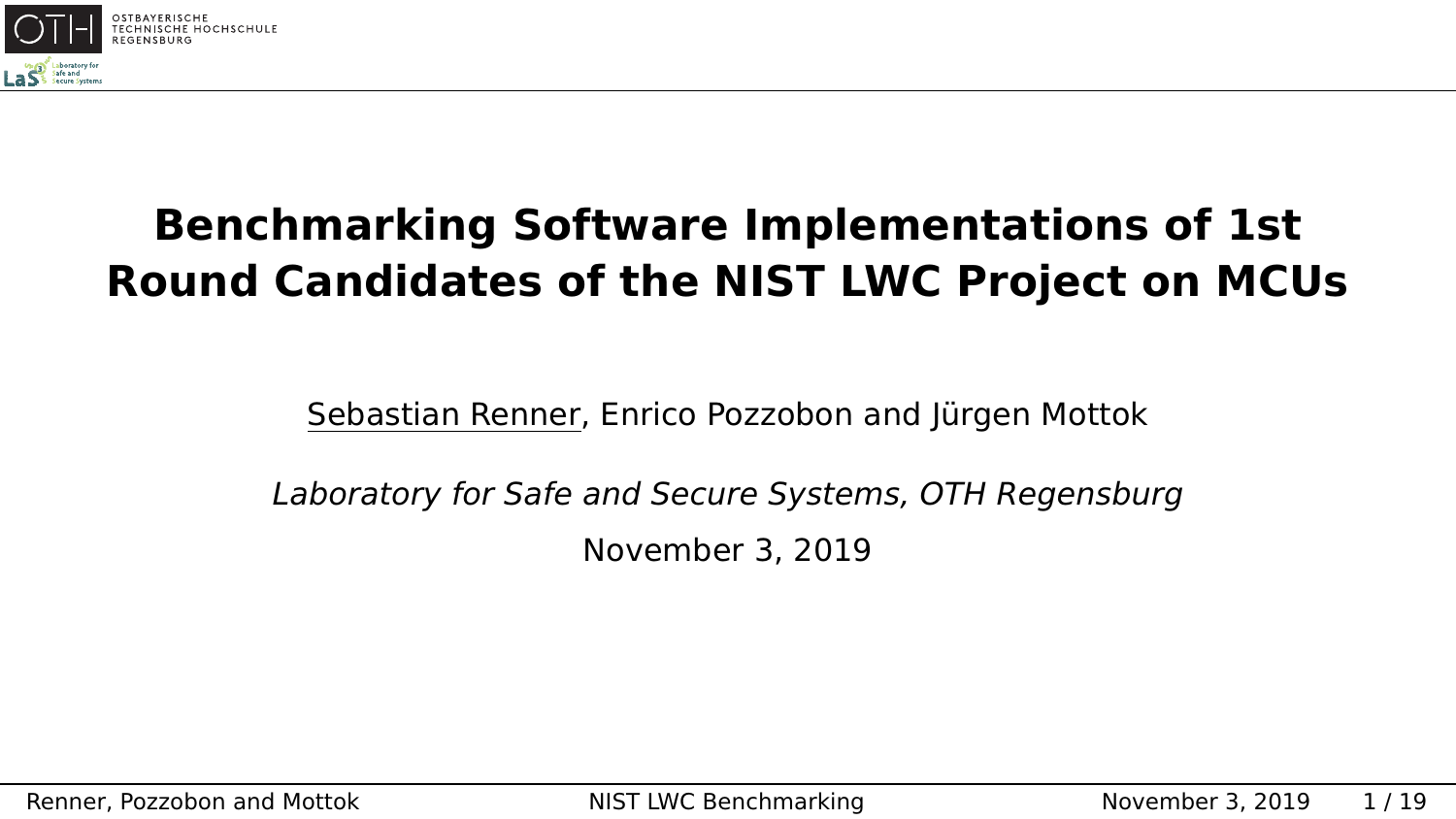<span id="page-0-0"></span>

## **Benchmarking Software Implementations of 1st Round Candidates of the NIST LWC Project on MCUs**

Sebastian Renner, Enrico Pozzobon and Jürgen Mottok

Laboratory for Safe and Secure Systems, OTH Regensburg November 3, 2019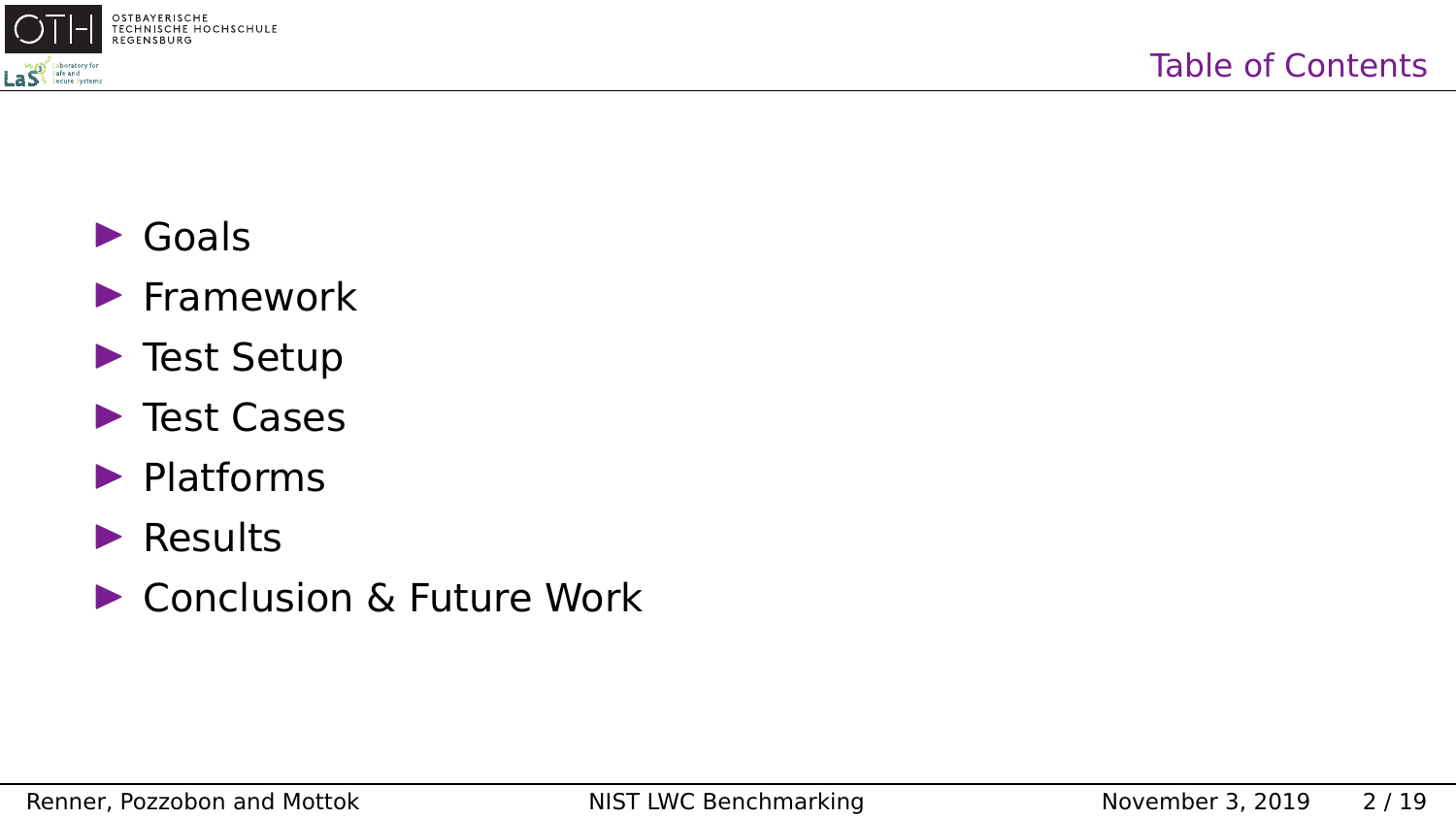

- $\blacktriangleright$  Goals
- $\blacktriangleright$  Framework
- $\blacktriangleright$  Test Setup
- $\blacktriangleright$  Test Cases
- $\blacktriangleright$  Platforms
- $\blacktriangleright$  Results
- ▶ Conclusion & Future Work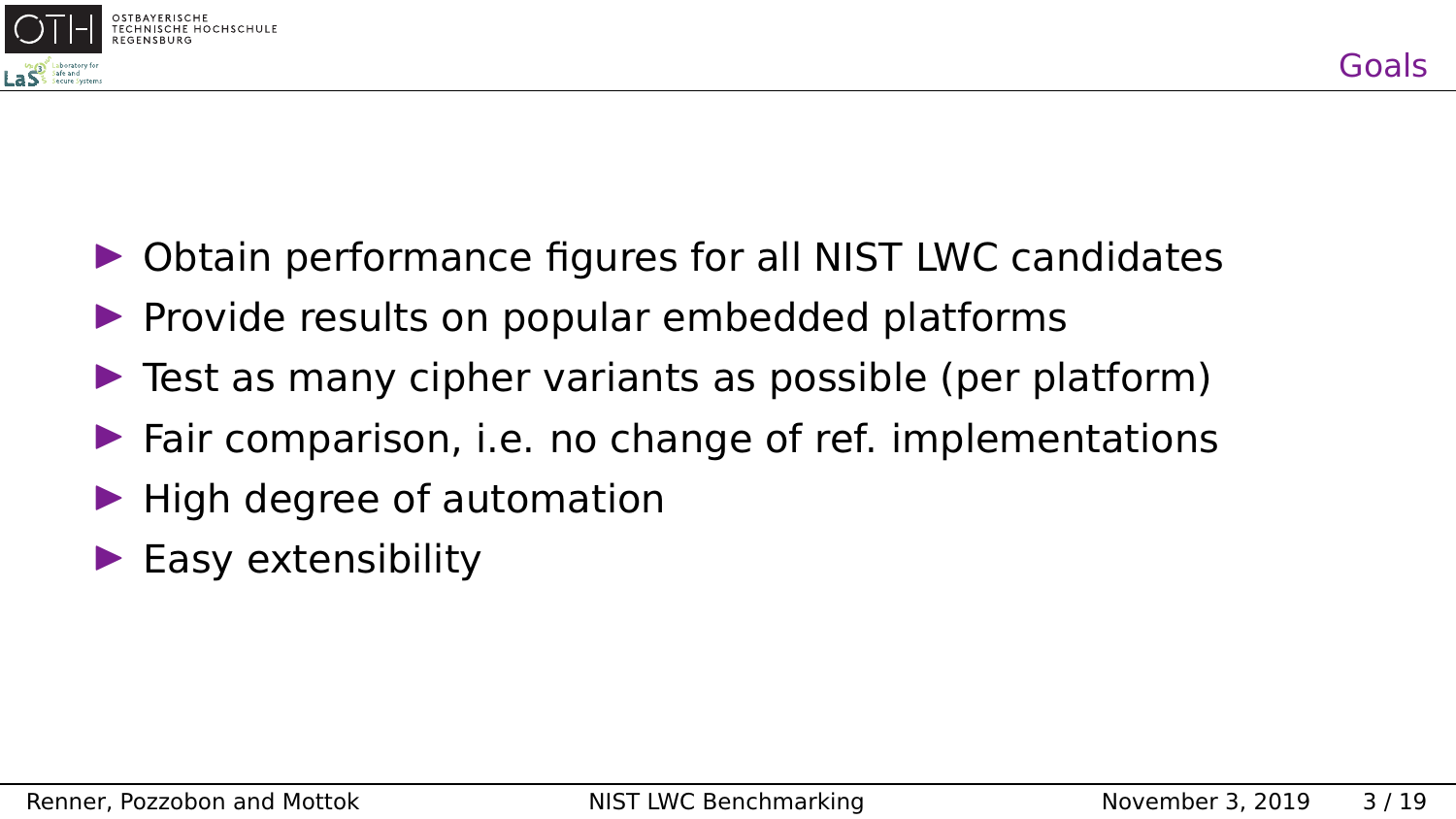

- $\triangleright$  Obtain performance figures for all NIST LWC candidates
- $\blacktriangleright$  Provide results on popular embedded platforms
- $\triangleright$  Test as many cipher variants as possible (per platform)
- $\blacktriangleright$  Fair comparison, i.e. no change of ref. implementations
- $\blacktriangleright$  High degree of automation
- $\blacktriangleright$  Easy extensibility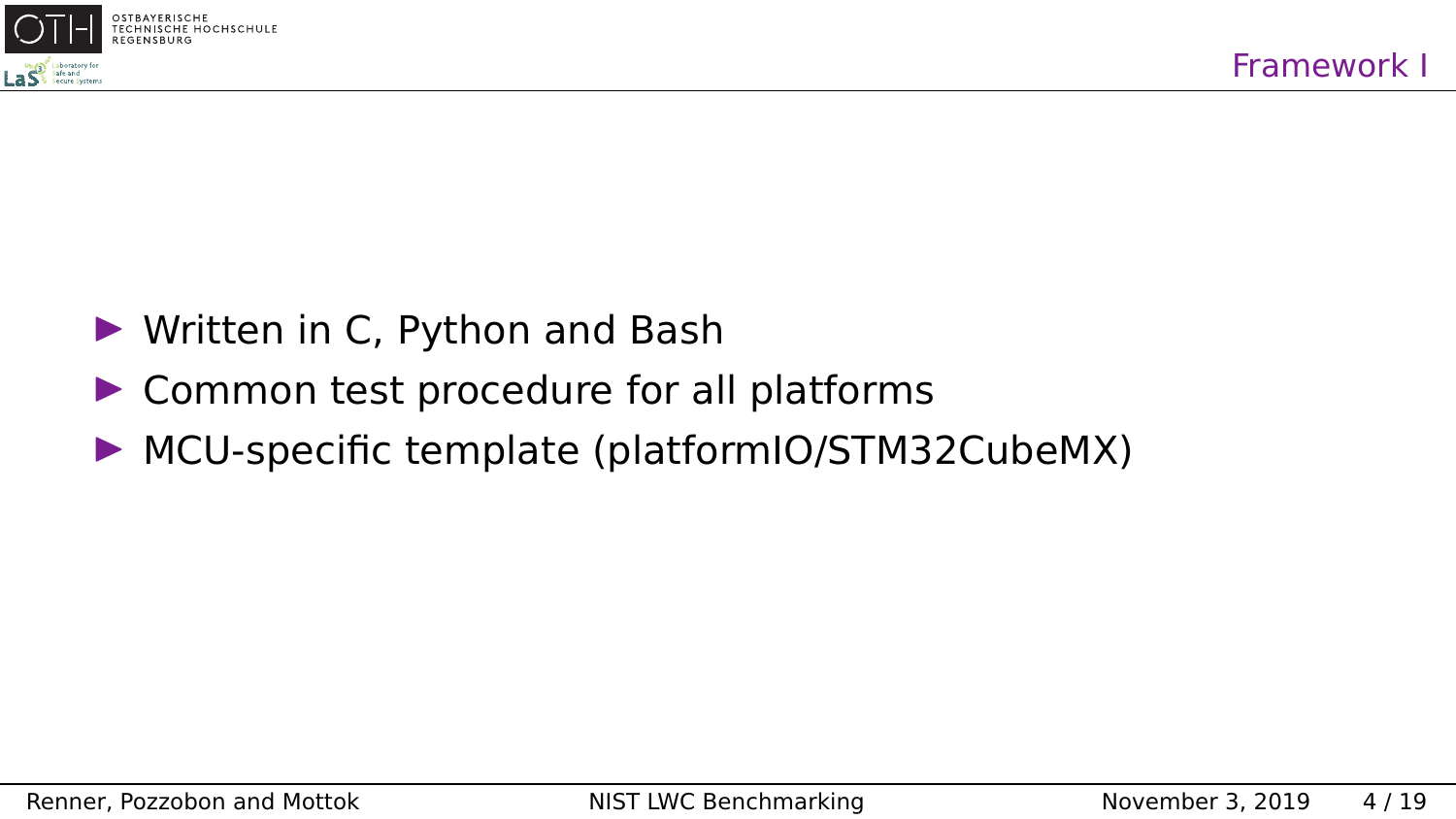

- $\triangleright$  Written in C, Python and Bash
- $\triangleright$  Common test procedure for all platforms
- $\triangleright$  MCU-specific template (platformIO/STM32CubeMX)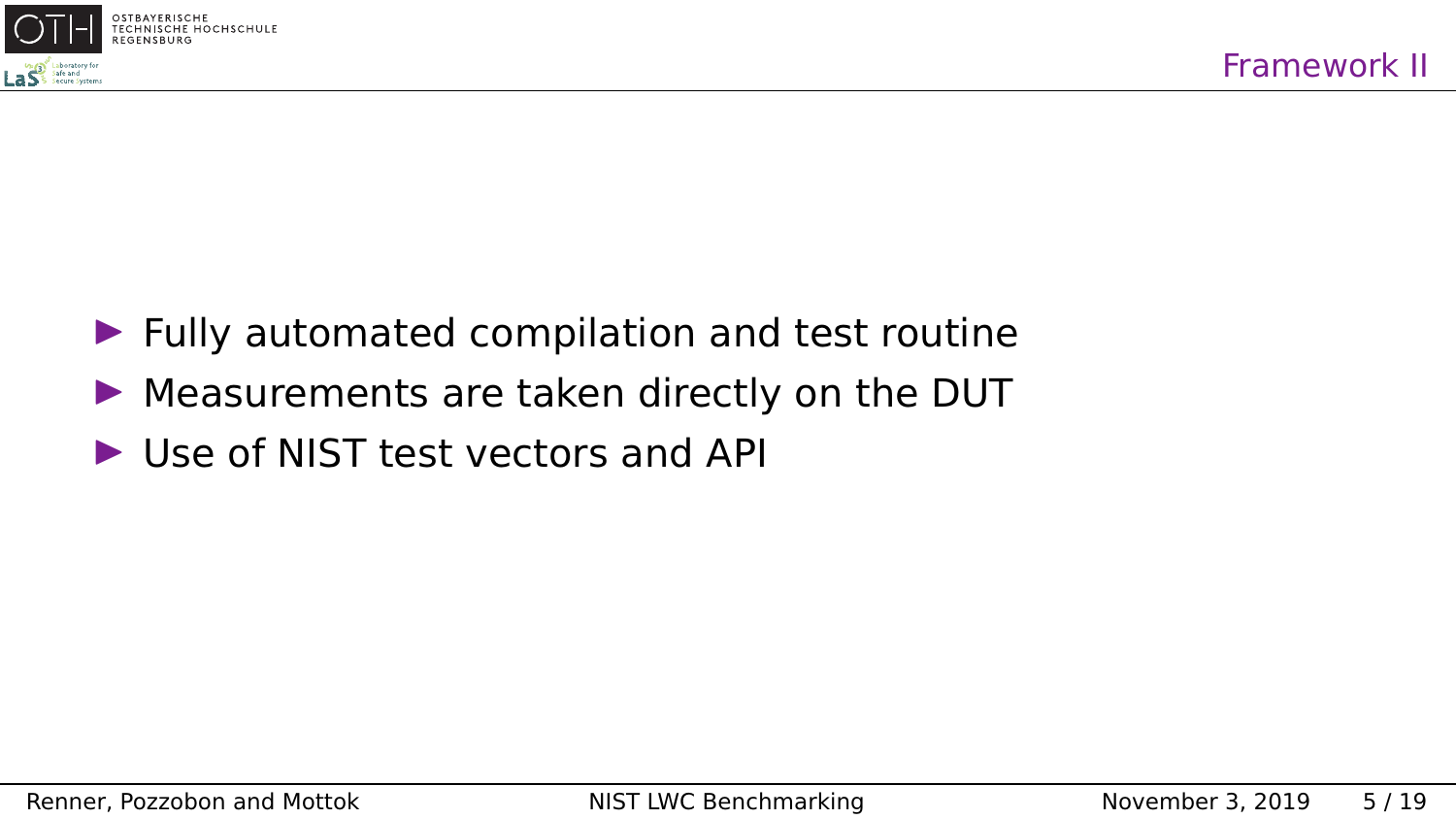

- $\blacktriangleright$  Fully automated compilation and test routine
- $\triangleright$  Measurements are taken directly on the DUT
- $\blacktriangleright$  Use of NIST test vectors and API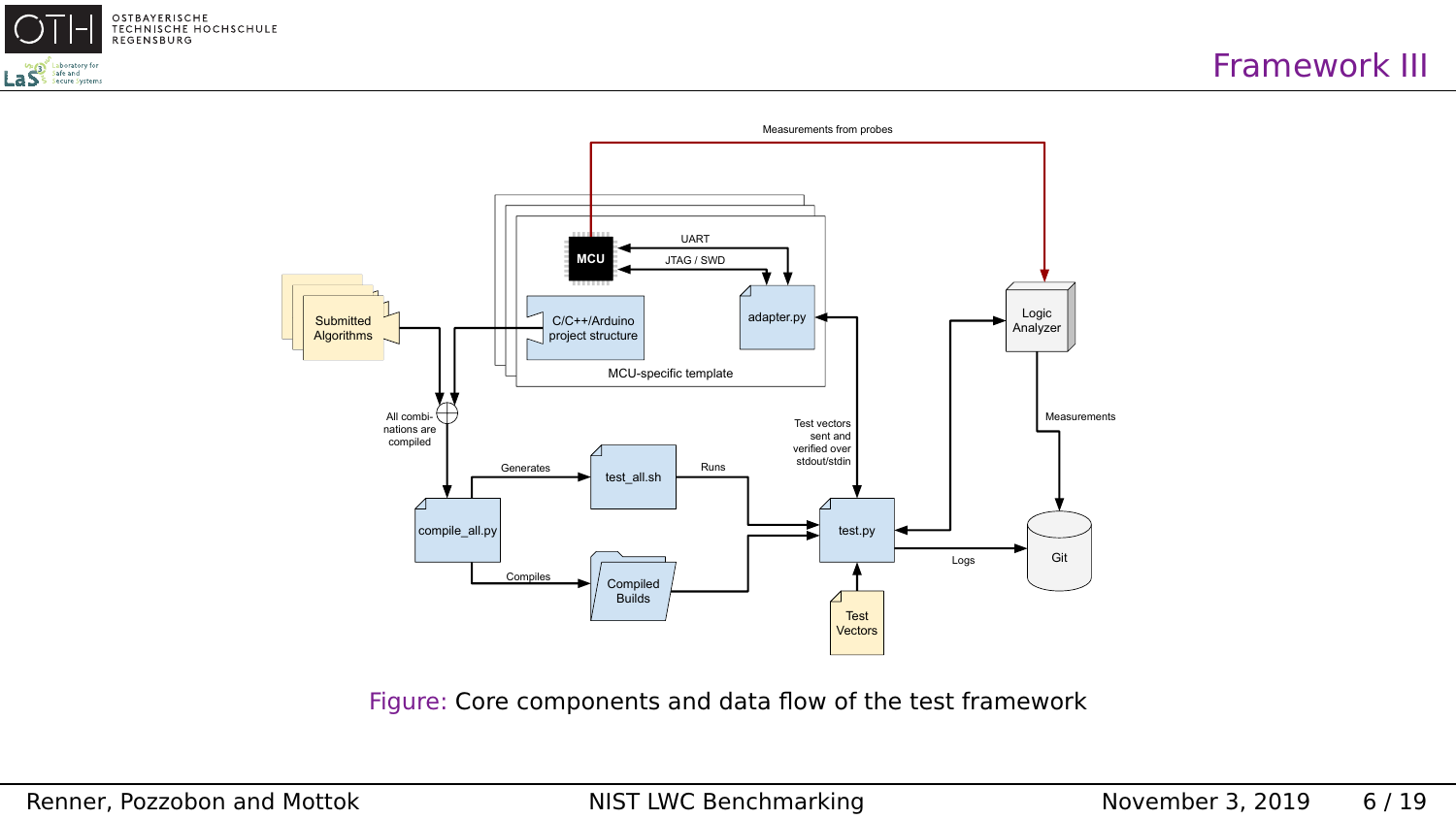



Figure: Core components and data flow of the test framework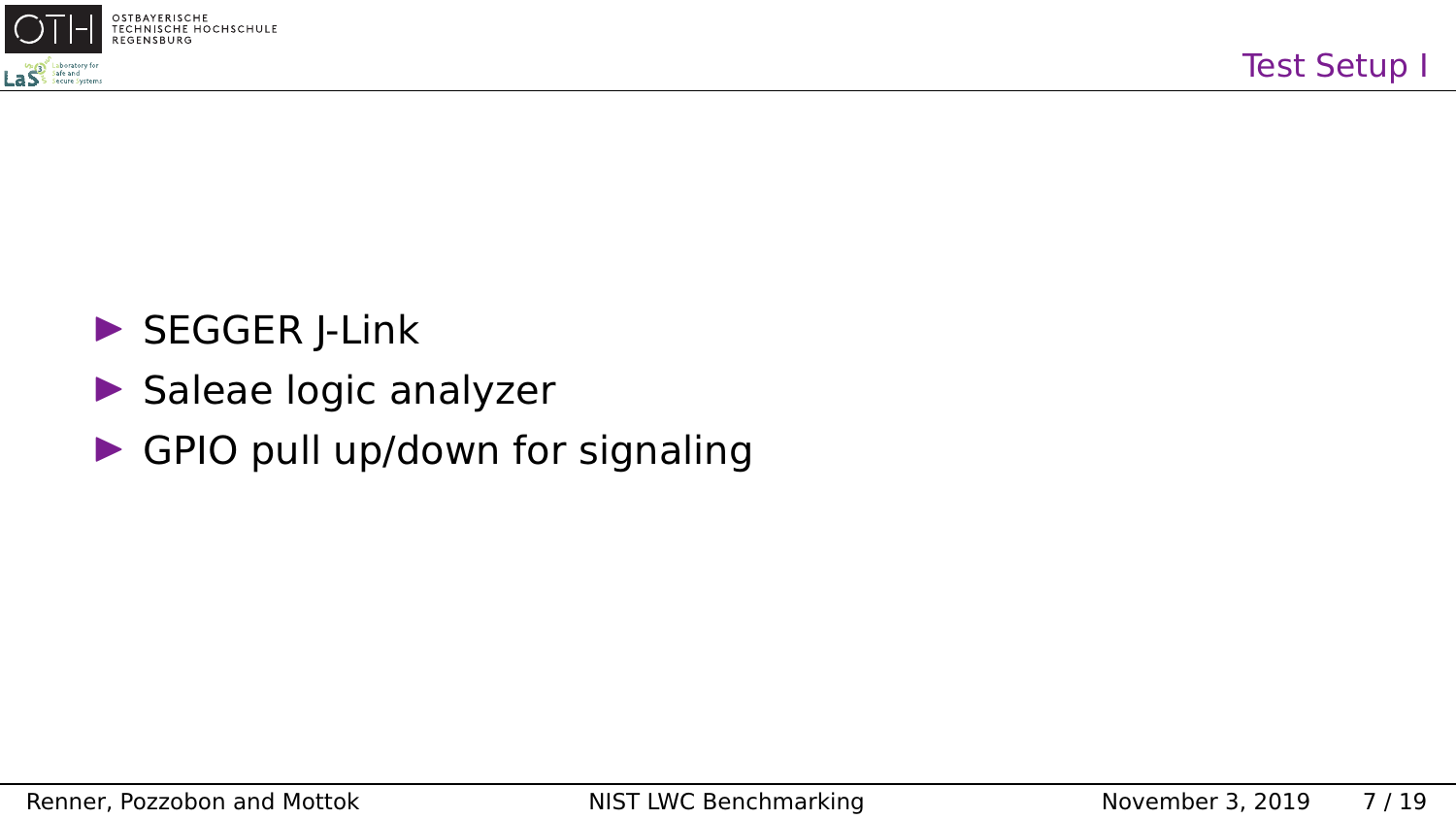

## $\triangleright$  SEGGER J-Link

- $\blacktriangleright$  Saleae logic analyzer
- $\triangleright$  GPIO pull up/down for signaling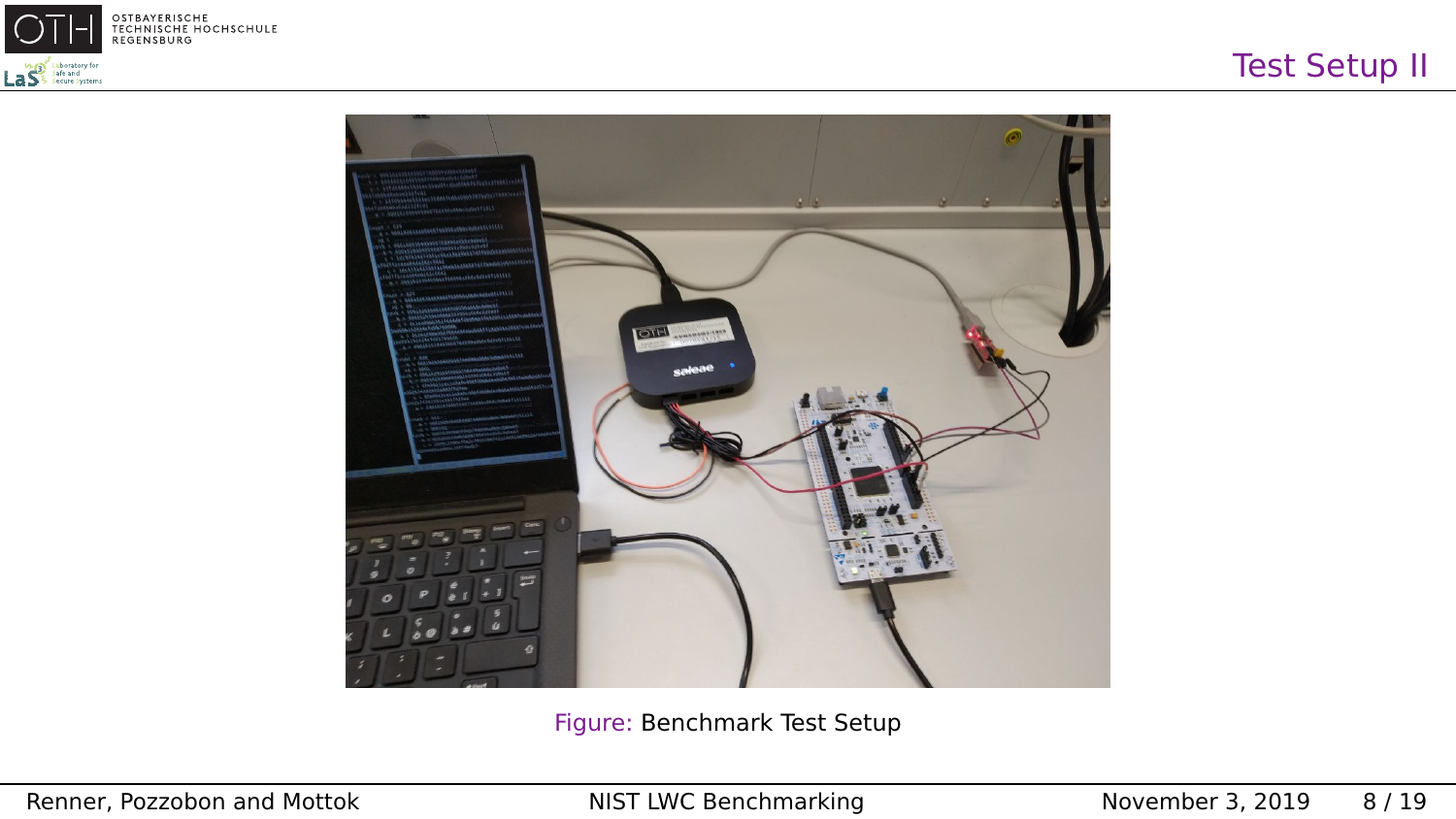



Figure: Benchmark Test Setup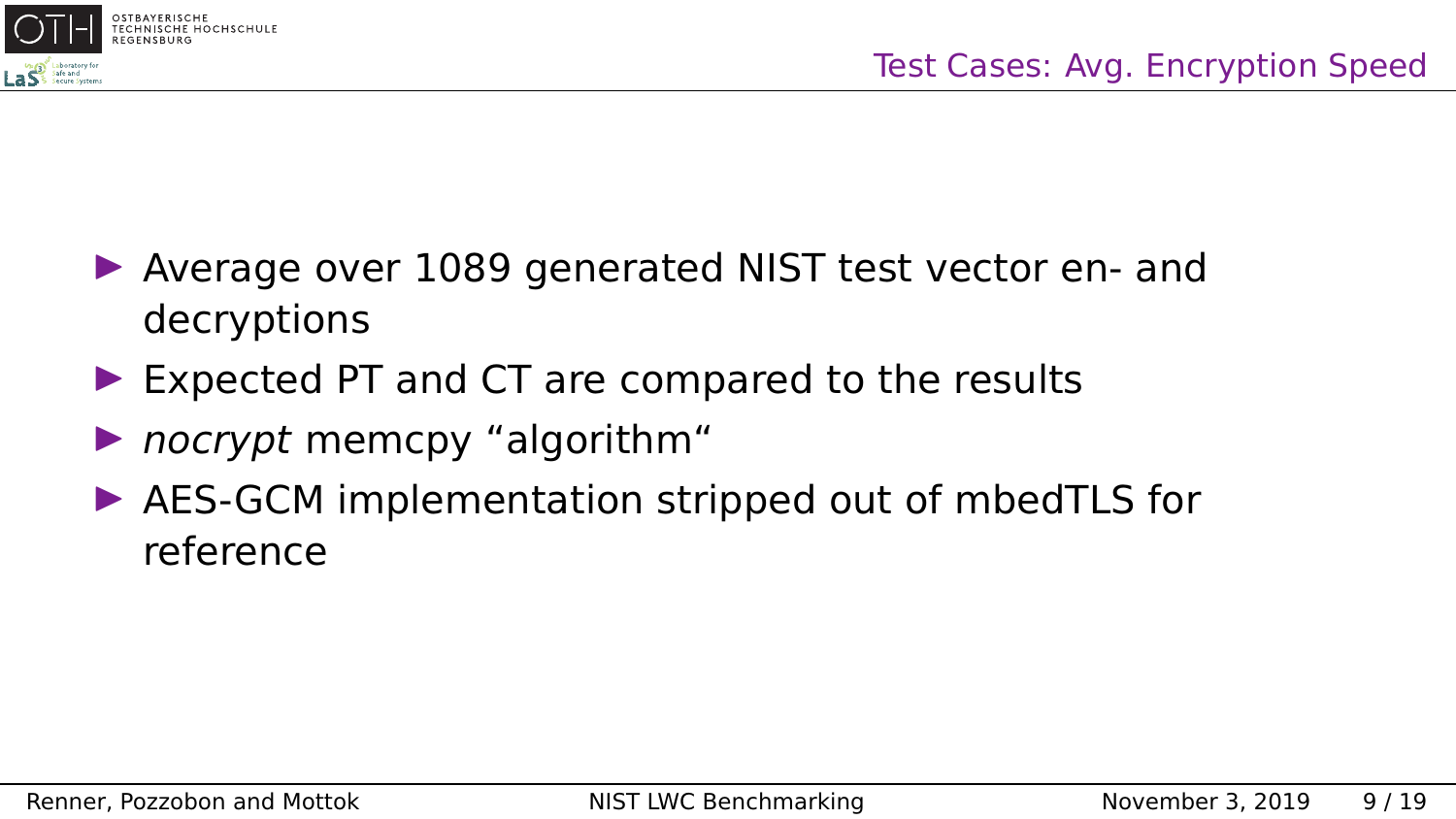

- ▶ Average over 1089 generated NIST test vector en- and decryptions
- $\triangleright$  Expected PT and CT are compared to the results
- $\triangleright$  nocrypt memcpy "algorithm"
- $\triangleright$  AES-GCM implementation stripped out of mbedTLS for reference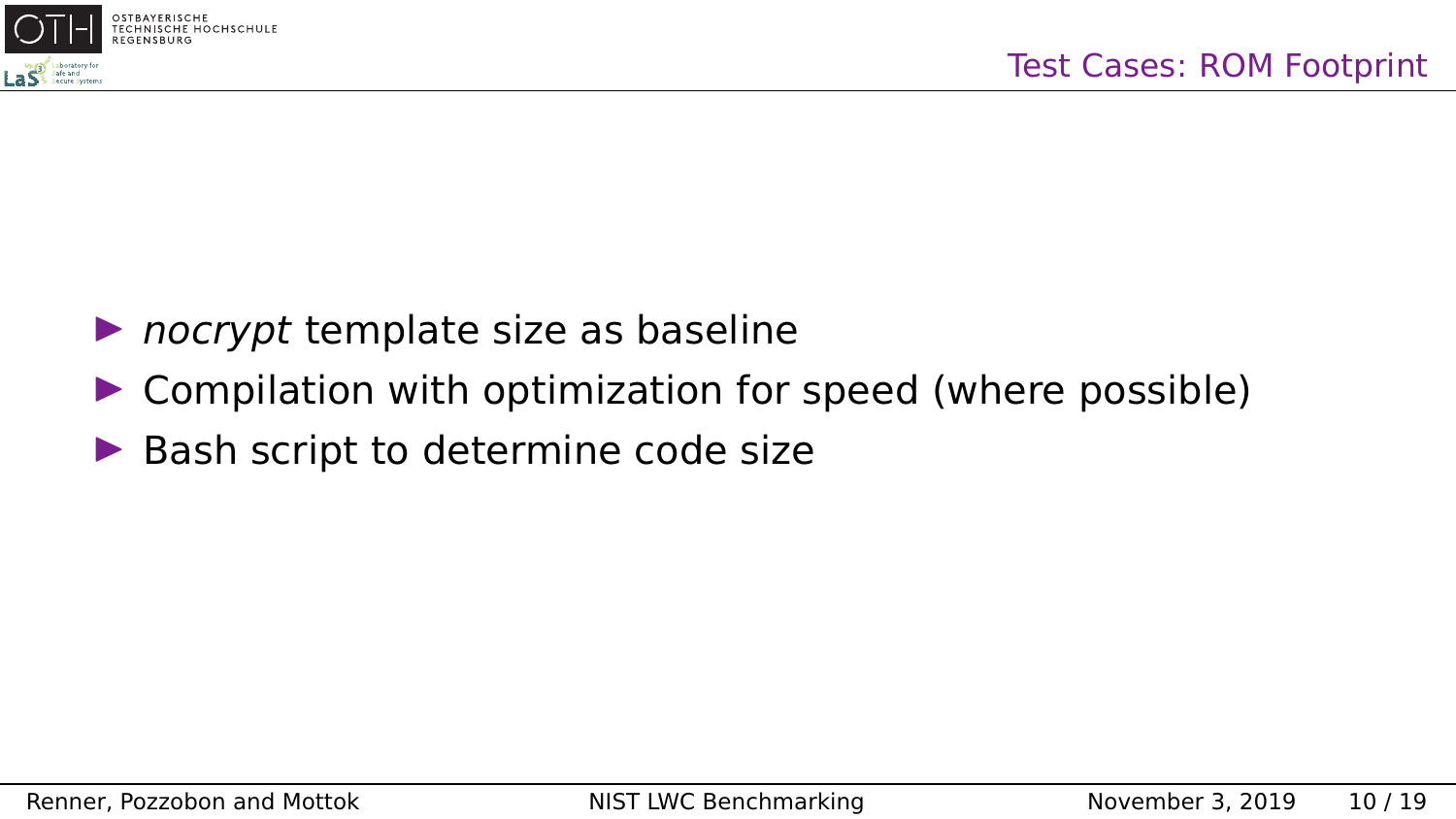

- $\triangleright$  nocrypt template size as baseline
- $\triangleright$  Compilation with optimization for speed (where possible)
- $\blacktriangleright$  Bash script to determine code size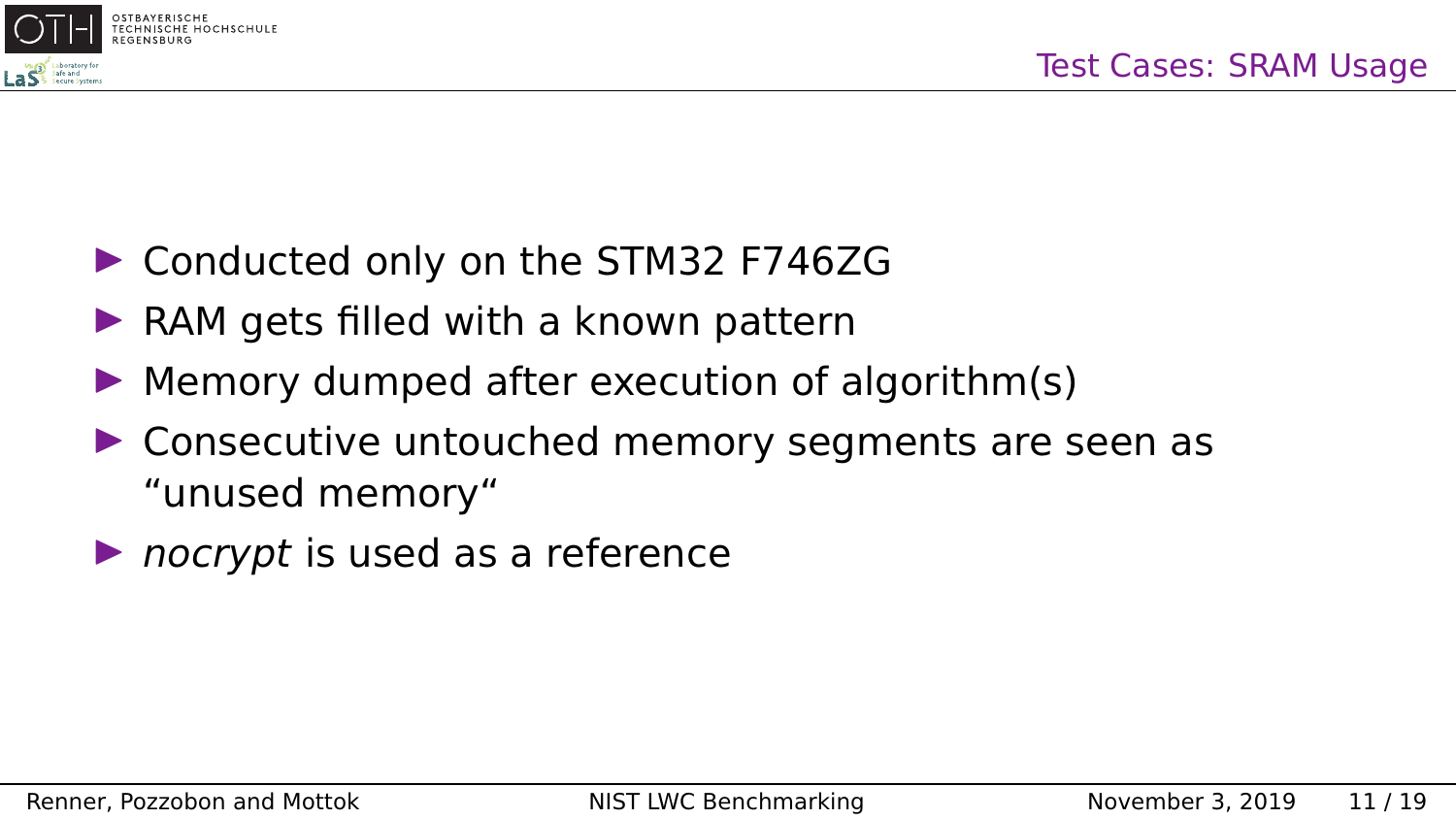

- ▶ Conducted only on the STM32 F746ZG
- $\triangleright$  RAM gets filled with a known pattern
- $\blacktriangleright$  Memory dumped after execution of algorithm(s)
- $\triangleright$  Consecutive untouched memory segments are seen as "unused memory"
- $\triangleright$  nocrypt is used as a reference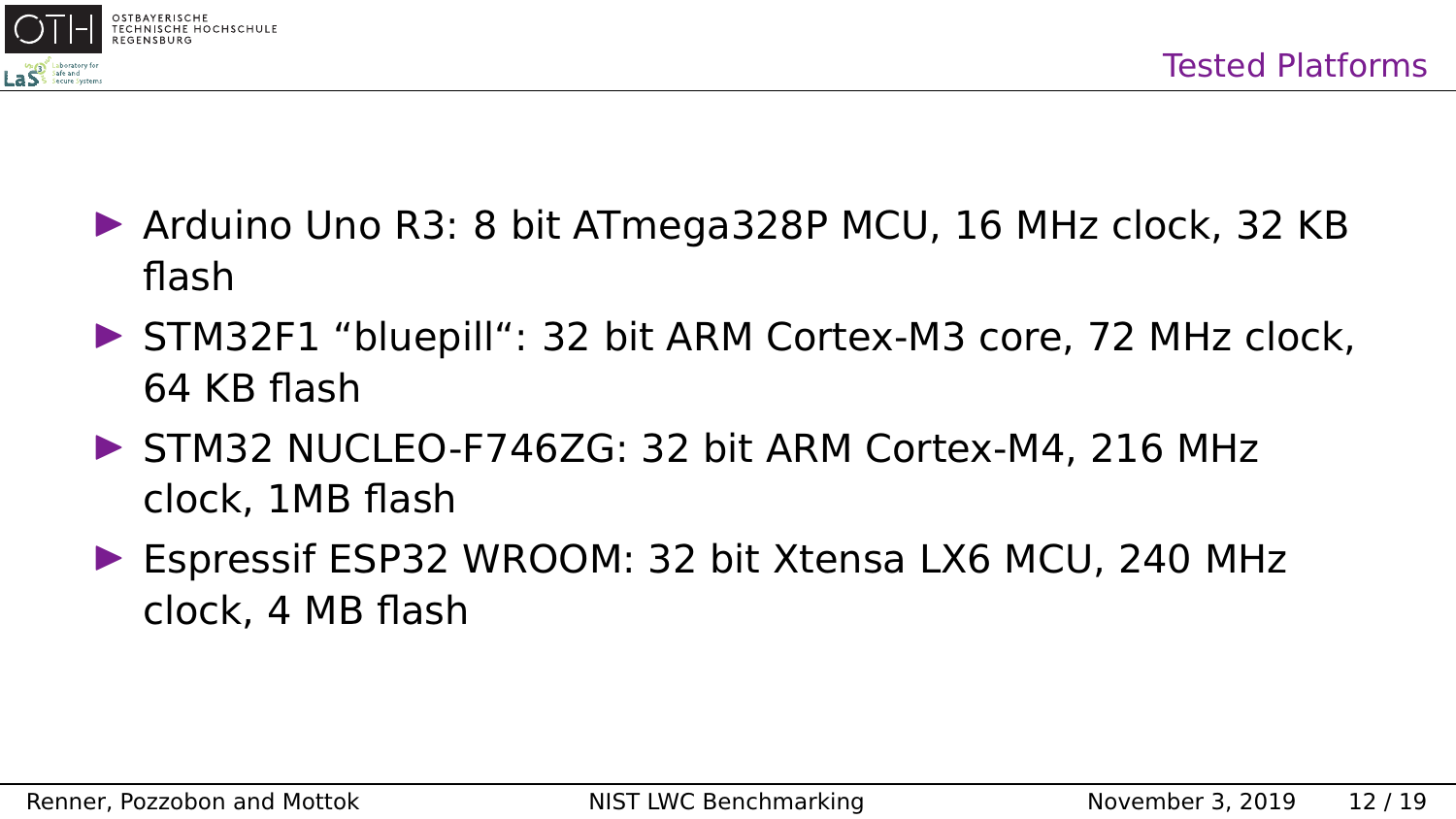



- $\triangleright$  Arduino Uno R3: 8 bit ATmega328P MCU, 16 MHz clock, 32 KB flash
- ▶ STM32F1 "bluepill": 32 bit ARM Cortex-M3 core, 72 MHz clock, 64 KB flash
- $\triangleright$  STM32 NUCLEO-F746ZG: 32 bit ARM Cortex-M4, 216 MHz clock, 1MB flash
- ▶ Espressif ESP32 WROOM: 32 bit Xtensa LX6 MCU, 240 MHz clock, 4 MB flash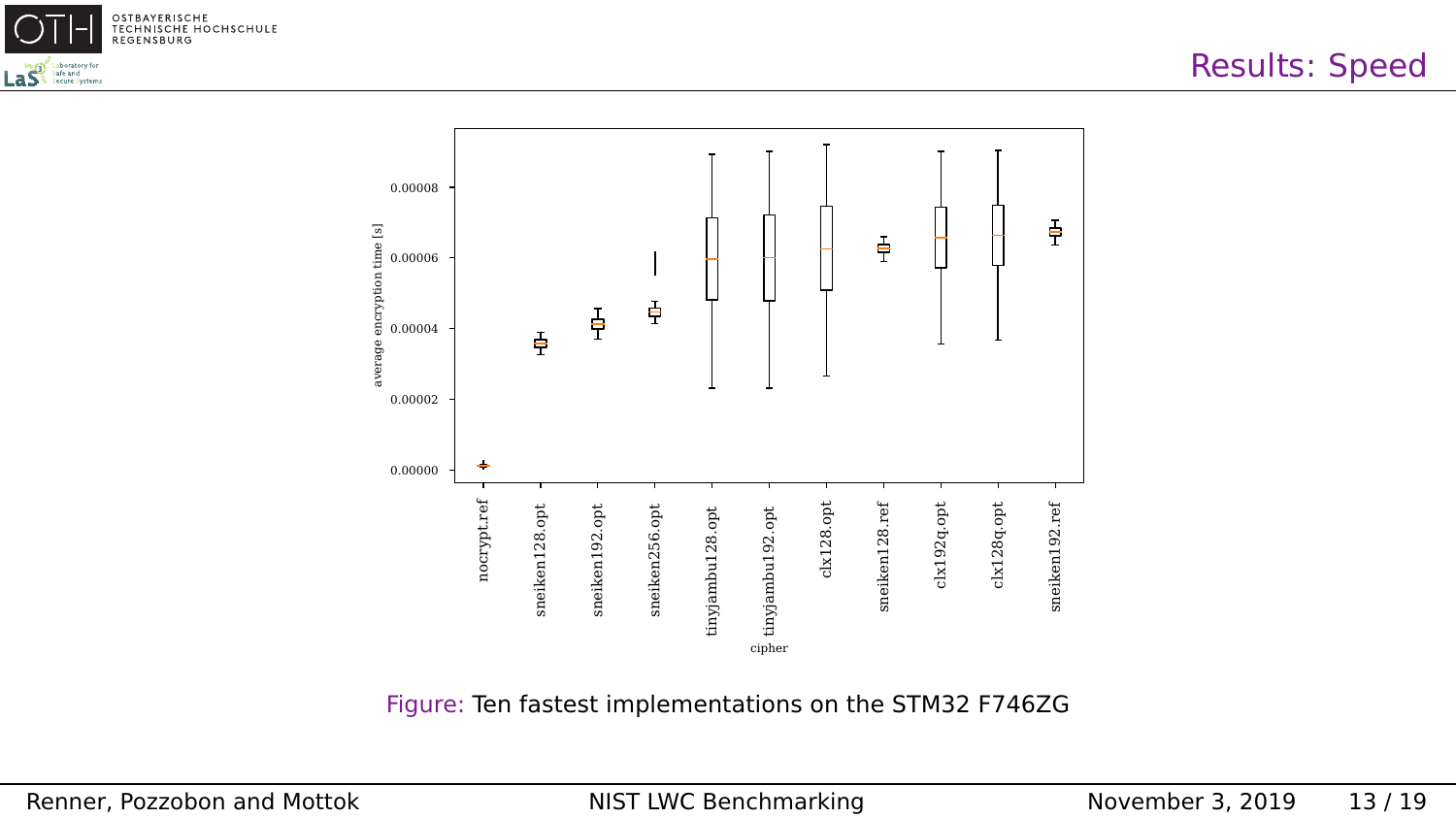



Figure: Ten fastest implementations on the STM32 F746ZG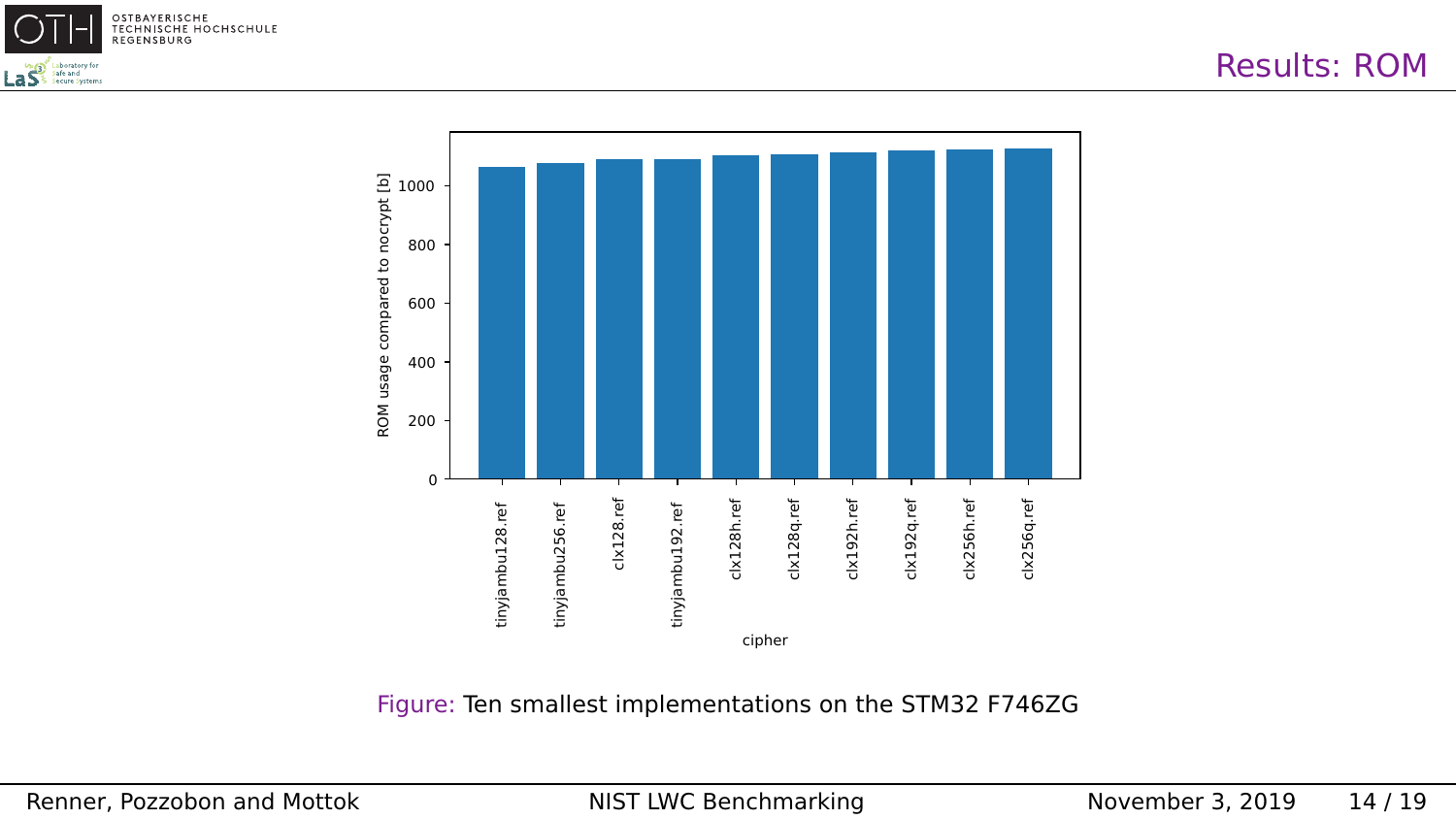



Figure: Ten smallest implementations on the STM32 F746ZG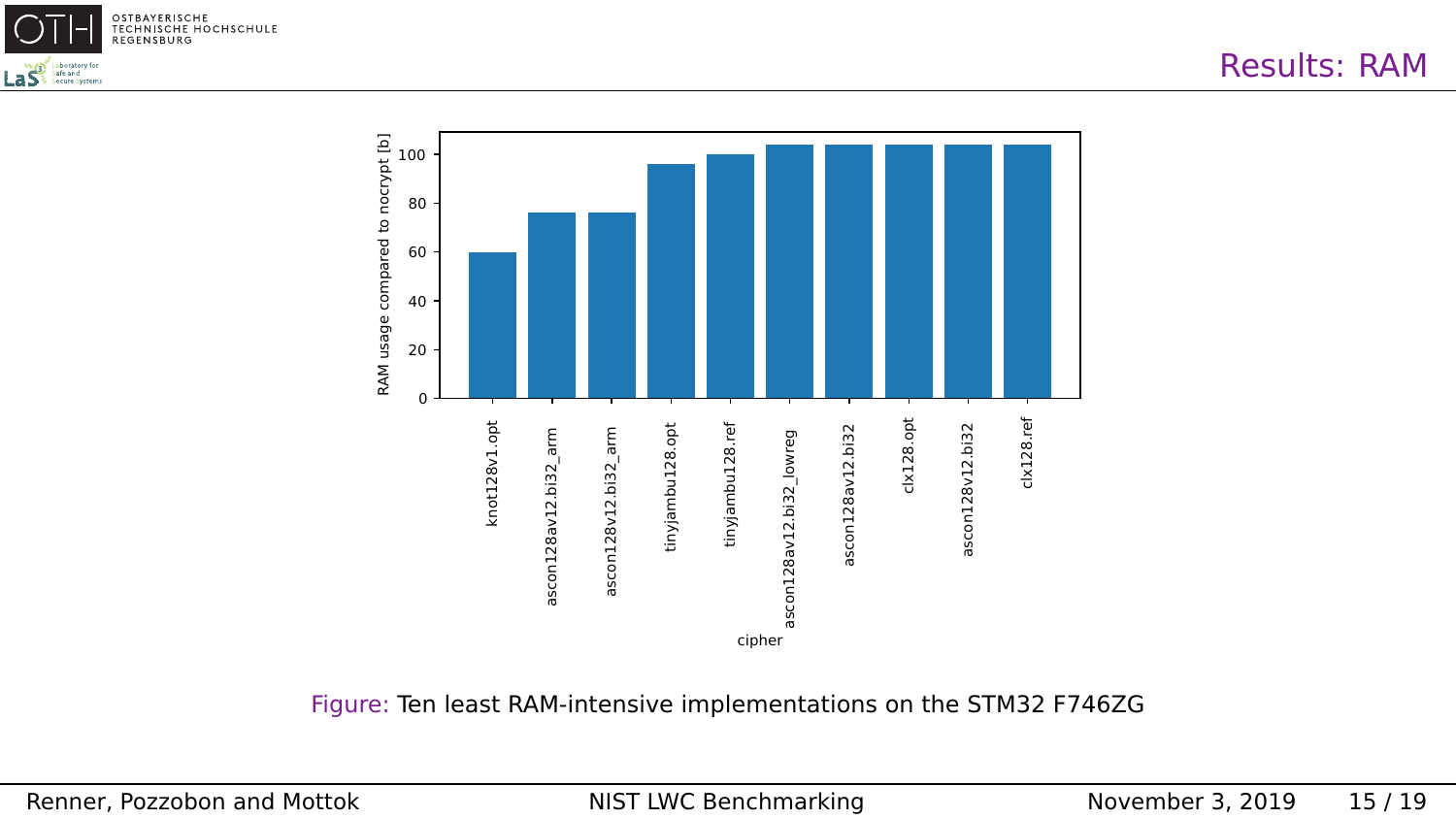



Figure: Ten least RAM-intensive implementations on the STM32 F746ZG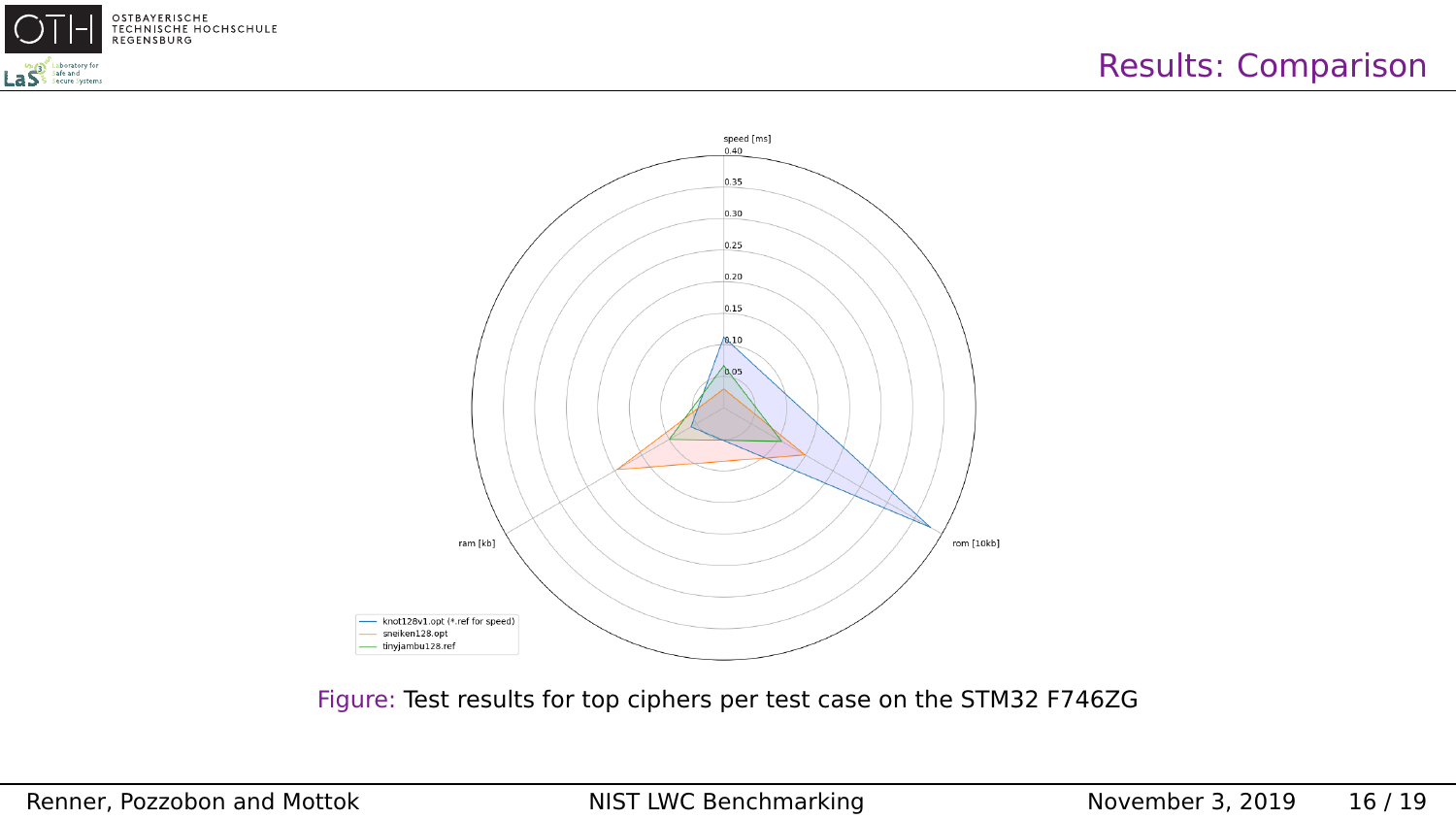



Figure: Test results for top ciphers per test case on the STM32 F746ZG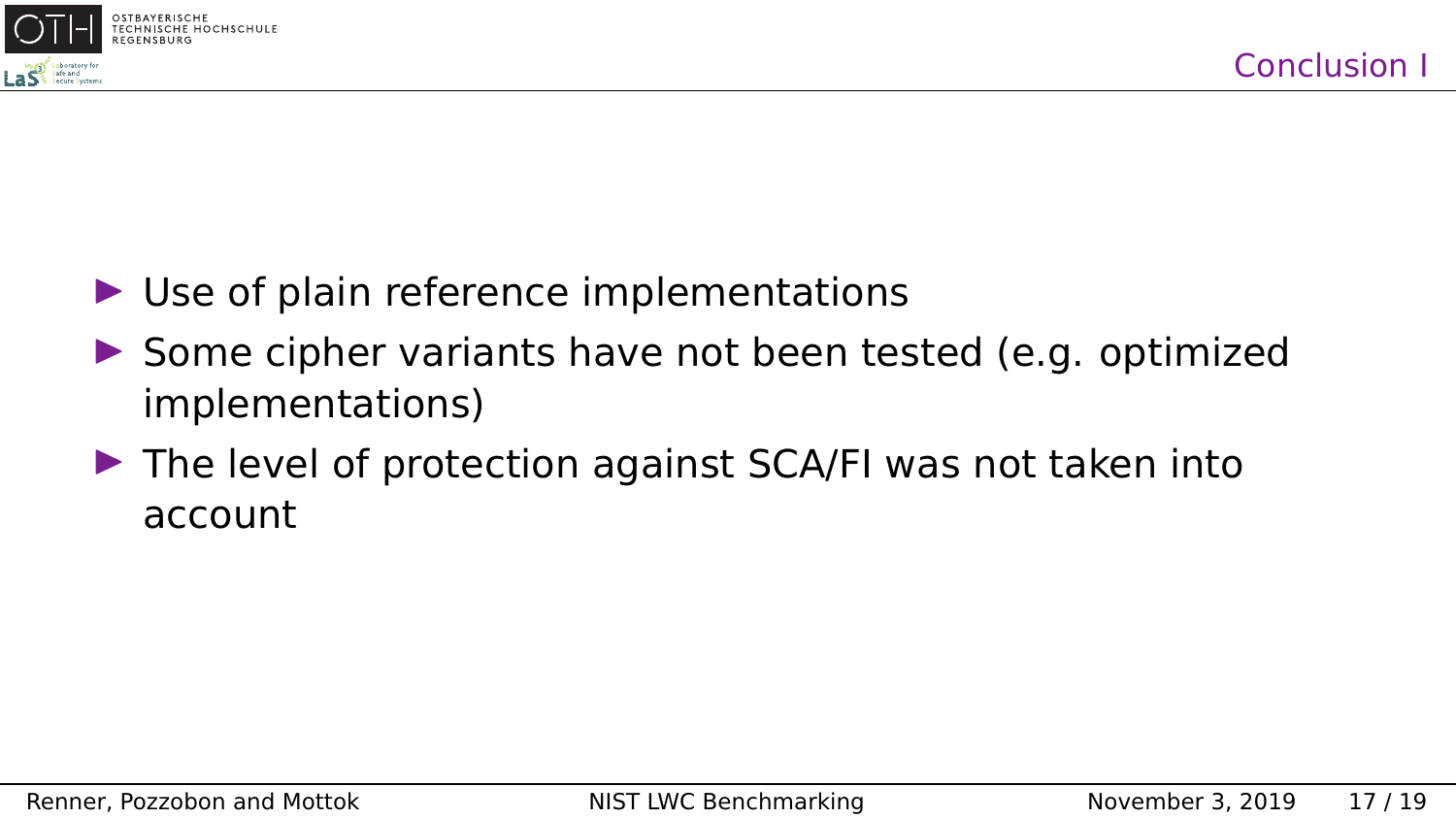

- $\triangleright$  Use of plain reference implementations
- $\triangleright$  Some cipher variants have not been tested (e.g. optimized implementations)
- $\triangleright$  The level of protection against SCA/FI was not taken into account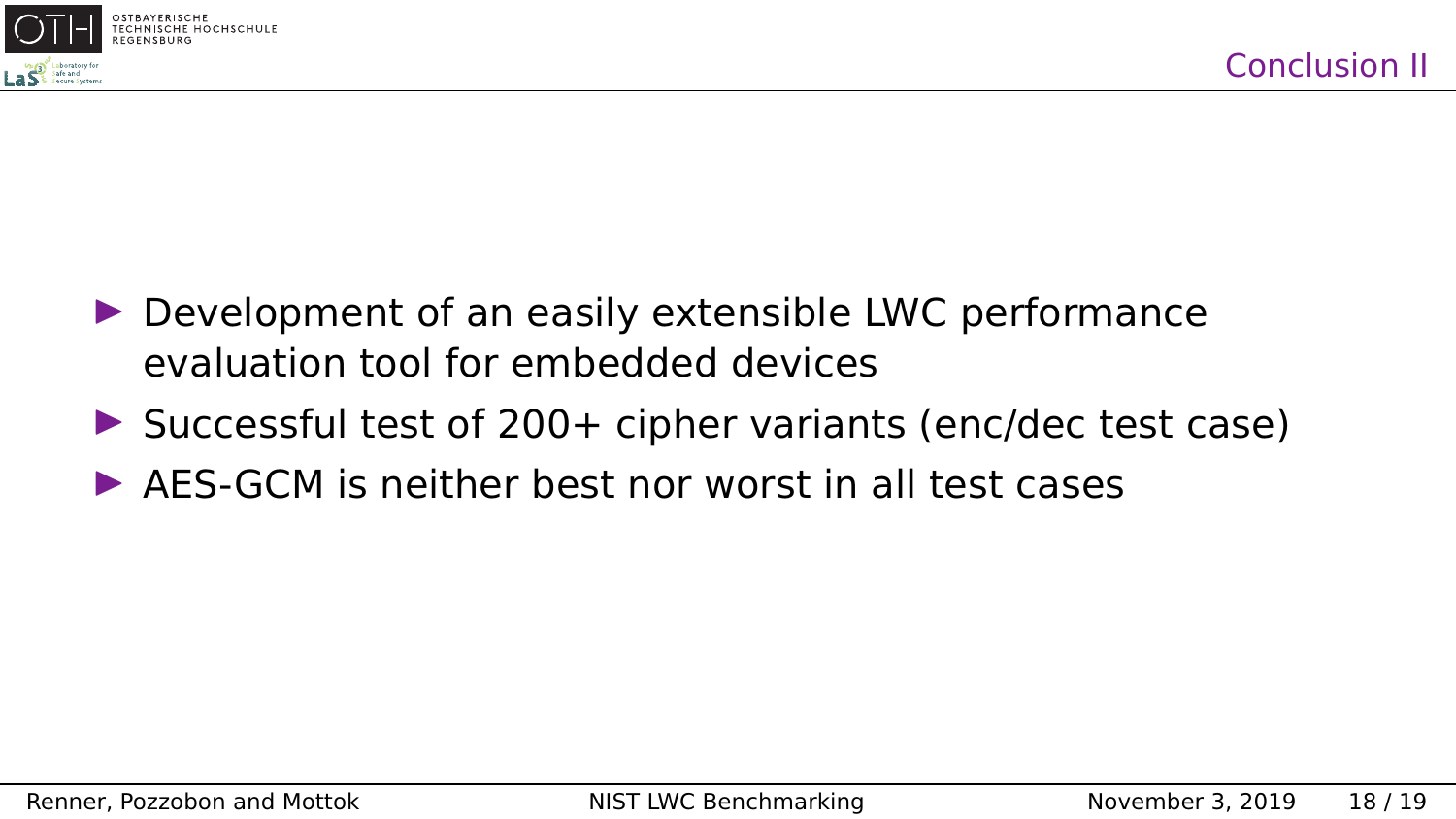

- $\triangleright$  Development of an easily extensible LWC performance evaluation tool for embedded devices
- $\triangleright$  Successful test of 200+ cipher variants (enc/dec test case)
- $\triangleright$  AFS-GCM is neither hest nor worst in all test cases